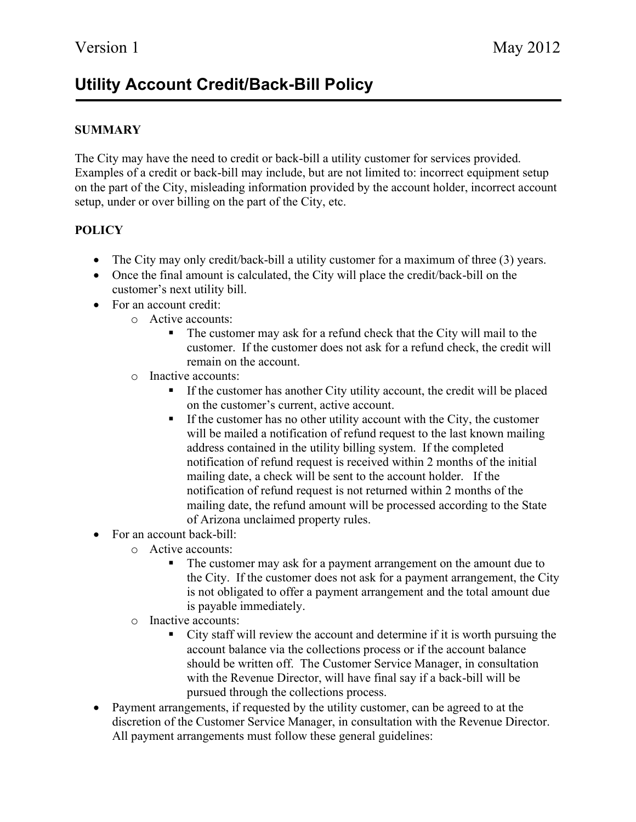## Utility Account Credit/Back-Bill Policy

## **SUMMARY**

The City may have the need to credit or back-bill a utility customer for services provided. Examples of a credit or back-bill may include, but are not limited to: incorrect equipment setup on the part of the City, misleading information provided by the account holder, incorrect account setup, under or over billing on the part of the City, etc.

## **POLICY**

- The City may only credit/back-bill a utility customer for a maximum of three (3) years.
- Once the final amount is calculated, the City will place the credit/back-bill on the customer's next utility bill.
- For an account credit:
	- o Active accounts:
		- The customer may ask for a refund check that the City will mail to the customer. If the customer does not ask for a refund check, the credit will remain on the account.
	- o Inactive accounts:
		- If the customer has another City utility account, the credit will be placed on the customer's current, active account.
		- If the customer has no other utility account with the City, the customer will be mailed a notification of refund request to the last known mailing address contained in the utility billing system. If the completed notification of refund request is received within 2 months of the initial mailing date, a check will be sent to the account holder. If the notification of refund request is not returned within 2 months of the mailing date, the refund amount will be processed according to the State of Arizona unclaimed property rules.
- For an account back-bill:
	- o Active accounts:
		- The customer may ask for a payment arrangement on the amount due to the City. If the customer does not ask for a payment arrangement, the City is not obligated to offer a payment arrangement and the total amount due is payable immediately.
	- o Inactive accounts:
		- City staff will review the account and determine if it is worth pursuing the account balance via the collections process or if the account balance should be written off. The Customer Service Manager, in consultation with the Revenue Director, will have final say if a back-bill will be pursued through the collections process.
- Payment arrangements, if requested by the utility customer, can be agreed to at the discretion of the Customer Service Manager, in consultation with the Revenue Director. All payment arrangements must follow these general guidelines: